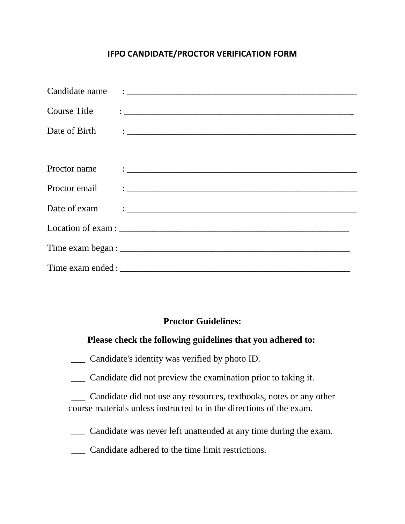## **IFPO CANDIDATE/PROCTOR VERIFICATION FORM**

| Course Title | <u> 1980 - Jan Samuel Barbara, martin a shekara tsara 1980 - An tsara 1980 - An tsara 1980 - An tsara 1980 - An t</u> |
|--------------|-----------------------------------------------------------------------------------------------------------------------|
|              |                                                                                                                       |
|              |                                                                                                                       |
|              |                                                                                                                       |
|              |                                                                                                                       |
|              | Date of exam $\qquad \qquad :$                                                                                        |
|              |                                                                                                                       |
|              |                                                                                                                       |
|              |                                                                                                                       |

## **Proctor Guidelines:**

## **Please check the following guidelines that you adhered to:**

\_\_\_ Candidate's identity was verified by photo ID.

\_\_\_ Candidate did not preview the examination prior to taking it.

\_\_\_ Candidate did not use any resources, textbooks, notes or any other course materials unless instructed to in the directions of the exam.

\_\_\_ Candidate was never left unattended at any time during the exam.

\_\_\_ Candidate adhered to the time limit restrictions.